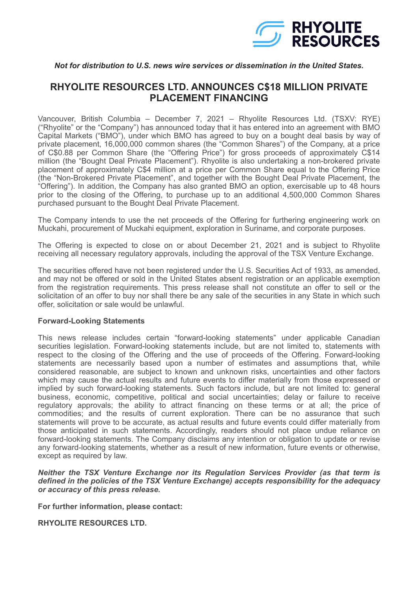

## *Not for distribution to U.S. news wire services or dissemination in the United States.*

## **RHYOLITE RESOURCES LTD. ANNOUNCES C\$18 MILLION PRIVATE PLACEMENT FINANCING**

Vancouver, British Columbia – December 7, 2021 – Rhyolite Resources Ltd. (TSXV: RYE) ("Rhyolite" or the "Company") has announced today that it has entered into an agreement with BMO Capital Markets ("BMO"), under which BMO has agreed to buy on a bought deal basis by way of private placement, 16,000,000 common shares (the "Common Shares") of the Company, at a price of C\$0.88 per Common Share (the "Offering Price") for gross proceeds of approximately C\$14 million (the "Bought Deal Private Placement"). Rhyolite is also undertaking a non-brokered private placement of approximately C\$4 million at a price per Common Share equal to the Offering Price (the "Non-Brokered Private Placement", and together with the Bought Deal Private Placement, the "Offering"). In addition, the Company has also granted BMO an option, exercisable up to 48 hours prior to the closing of the Offering, to purchase up to an additional 4,500,000 Common Shares purchased pursuant to the Bought Deal Private Placement.

The Company intends to use the net proceeds of the Offering for furthering engineering work on Muckahi, procurement of Muckahi equipment, exploration in Suriname, and corporate purposes.

The Offering is expected to close on or about December 21, 2021 and is subject to Rhyolite receiving all necessary regulatory approvals, including the approval of the TSX Venture Exchange.

The securities offered have not been registered under the U.S. Securities Act of 1933, as amended, and may not be offered or sold in the United States absent registration or an applicable exemption from the registration requirements. This press release shall not constitute an offer to sell or the solicitation of an offer to buy nor shall there be any sale of the securities in any State in which such offer, solicitation or sale would be unlawful.

## **Forward-Looking Statements**

This news release includes certain "forward-looking statements" under applicable Canadian securities legislation. Forward-looking statements include, but are not limited to, statements with respect to the closing of the Offering and the use of proceeds of the Offering. Forward-looking statements are necessarily based upon a number of estimates and assumptions that, while considered reasonable, are subject to known and unknown risks, uncertainties and other factors which may cause the actual results and future events to differ materially from those expressed or implied by such forward-looking statements. Such factors include, but are not limited to: general business, economic, competitive, political and social uncertainties; delay or failure to receive regulatory approvals; the ability to attract financing on these terms or at all; the price of commodities; and the results of current exploration. There can be no assurance that such statements will prove to be accurate, as actual results and future events could differ materially from those anticipated in such statements. Accordingly, readers should not place undue reliance on forward-looking statements. The Company disclaims any intention or obligation to update or revise any forward-looking statements, whether as a result of new information, future events or otherwise, except as required by law.

## *Neither the TSX Venture Exchange nor its Regulation Services Provider (as that term is defined in the policies of the TSX Venture Exchange) accepts responsibility for the adequacy or accuracy of this press release.*

**For further information, please contact:**

**RHYOLITE RESOURCES LTD.**